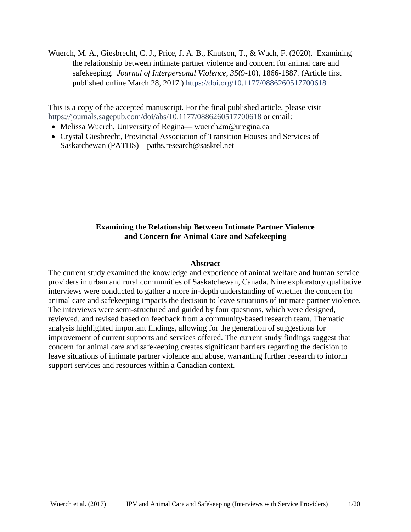Wuerch, M. A., Giesbrecht, C. J., Price, J. A. B., Knutson, T., & Wach, F. (2020). Examining the relationship between intimate partner violence and concern for animal care and safekeeping. *Journal of Interpersonal Violence, 35*(9-10), 1866-1887*.* (Article first published online March 28, 2017*.*) <https://doi.org/10.1177/0886260517700618>

This is a copy of the accepted manuscript. For the final published article, please visit <https://journals.sagepub.com/doi/abs/10.1177/0886260517700618> or email:

- Melissa Wuerch, University of Regina— wuerch2m@uregina.ca
- Crystal Giesbrecht, Provincial Association of Transition Houses and Services of Saskatchewan (PATHS)—paths.research@sasktel.net

# **Examining the Relationship Between Intimate Partner Violence and Concern for Animal Care and Safekeeping**

#### **Abstract**

The current study examined the knowledge and experience of animal welfare and human service providers in urban and rural communities of Saskatchewan, Canada. Nine exploratory qualitative interviews were conducted to gather a more in-depth understanding of whether the concern for animal care and safekeeping impacts the decision to leave situations of intimate partner violence. The interviews were semi-structured and guided by four questions, which were designed, reviewed, and revised based on feedback from a community-based research team. Thematic analysis highlighted important findings, allowing for the generation of suggestions for improvement of current supports and services offered. The current study findings suggest that concern for animal care and safekeeping creates significant barriers regarding the decision to leave situations of intimate partner violence and abuse, warranting further research to inform support services and resources within a Canadian context.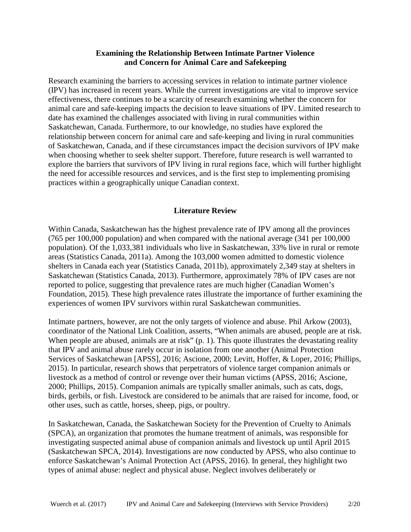# **Examining the Relationship Between Intimate Partner Violence and Concern for Animal Care and Safekeeping**

Research examining the barriers to accessing services in relation to intimate partner violence (IPV) has increased in recent years. While the current investigations are vital to improve service effectiveness, there continues to be a scarcity of research examining whether the concern for animal care and safe-keeping impacts the decision to leave situations of IPV. Limited research to date has examined the challenges associated with living in rural communities within Saskatchewan, Canada. Furthermore, to our knowledge, no studies have explored the relationship between concern for animal care and safe-keeping and living in rural communities of Saskatchewan, Canada, and if these circumstances impact the decision survivors of IPV make when choosing whether to seek shelter support. Therefore, future research is well warranted to explore the barriers that survivors of IPV living in rural regions face, which will further highlight the need for accessible resources and services, and is the first step to implementing promising practices within a geographically unique Canadian context.

## **Literature Review**

Within Canada, Saskatchewan has the highest prevalence rate of IPV among all the provinces (765 per 100,000 population) and when compared with the national average (341 per 100,000 population). Of the 1,033,381 individuals who live in Saskatchewan, 33% live in rural or remote areas (Statistics Canada, 2011a). Among the 103,000 women admitted to domestic violence shelters in Canada each year (Statistics Canada, 2011b), approximately 2,349 stay at shelters in Saskatchewan (Statistics Canada, 2013). Furthermore, approximately 78% of IPV cases are not reported to police, suggesting that prevalence rates are much higher (Canadian Women's Foundation, 2015). These high prevalence rates illustrate the importance of further examining the experiences of women IPV survivors within rural Saskatchewan communities.

Intimate partners, however, are not the only targets of violence and abuse. Phil Arkow (2003), coordinator of the National Link Coalition, asserts, "When animals are abused, people are at risk. When people are abused, animals are at risk" (p. 1). This quote illustrates the devastating reality that IPV and animal abuse rarely occur in isolation from one another (Animal Protection Services of Saskatchewan [APSS], 2016; Ascione, 2000; Levitt, Hoffer, & Loper, 2016; Phillips, 2015). In particular, research shows that perpetrators of violence target companion animals or livestock as a method of control or revenge over their human victims (APSS, 2016; Ascione, 2000; Phillips, 2015). Companion animals are typically smaller animals, such as cats, dogs, birds, gerbils, or fish. Livestock are considered to be animals that are raised for income, food, or other uses, such as cattle, horses, sheep, pigs, or poultry.

In Saskatchewan, Canada, the Saskatchewan Society for the Prevention of Cruelty to Animals (SPCA), an organization that promotes the humane treatment of animals, was responsible for investigating suspected animal abuse of companion animals and livestock up until April 2015 (Saskatchewan SPCA, 2014). Investigations are now conducted by APSS, who also continue to enforce Saskatchewan's Animal Protection Act (APSS, 2016). In general, they highlight two types of animal abuse: neglect and physical abuse. Neglect involves deliberately or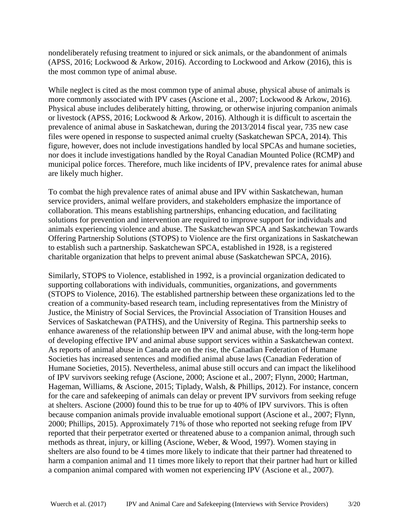nondeliberately refusing treatment to injured or sick animals, or the abandonment of animals (APSS, 2016; Lockwood & Arkow, 2016). According to Lockwood and Arkow (2016), this is the most common type of animal abuse.

While neglect is cited as the most common type of animal abuse, physical abuse of animals is more commonly associated with IPV cases (Ascione et al., 2007; Lockwood & Arkow, 2016). Physical abuse includes deliberately hitting, throwing, or otherwise injuring companion animals or livestock (APSS, 2016; Lockwood & Arkow, 2016). Although it is difficult to ascertain the prevalence of animal abuse in Saskatchewan, during the 2013/2014 fiscal year, 735 new case files were opened in response to suspected animal cruelty (Saskatchewan SPCA, 2014). This figure, however, does not include investigations handled by local SPCAs and humane societies, nor does it include investigations handled by the Royal Canadian Mounted Police (RCMP) and municipal police forces. Therefore, much like incidents of IPV, prevalence rates for animal abuse are likely much higher.

To combat the high prevalence rates of animal abuse and IPV within Saskatchewan, human service providers, animal welfare providers, and stakeholders emphasize the importance of collaboration. This means establishing partnerships, enhancing education, and facilitating solutions for prevention and intervention are required to improve support for individuals and animals experiencing violence and abuse. The Saskatchewan SPCA and Saskatchewan Towards Offering Partnership Solutions (STOPS) to Violence are the first organizations in Saskatchewan to establish such a partnership. Saskatchewan SPCA, established in 1928, is a registered charitable organization that helps to prevent animal abuse (Saskatchewan SPCA, 2016).

Similarly, STOPS to Violence, established in 1992, is a provincial organization dedicated to supporting collaborations with individuals, communities, organizations, and governments (STOPS to Violence, 2016). The established partnership between these organizations led to the creation of a community-based research team, including representatives from the Ministry of Justice, the Ministry of Social Services, the Provincial Association of Transition Houses and Services of Saskatchewan (PATHS), and the University of Regina. This partnership seeks to enhance awareness of the relationship between IPV and animal abuse, with the long-term hope of developing effective IPV and animal abuse support services within a Saskatchewan context. As reports of animal abuse in Canada are on the rise, the Canadian Federation of Humane Societies has increased sentences and modified animal abuse laws (Canadian Federation of Humane Societies, 2015). Nevertheless, animal abuse still occurs and can impact the likelihood of IPV survivors seeking refuge (Ascione, 2000; Ascione et al., 2007; Flynn, 2000; Hartman, Hageman, Williams, & Ascione, 2015; Tiplady, Walsh, & Phillips, 2012). For instance, concern for the care and safekeeping of animals can delay or prevent IPV survivors from seeking refuge at shelters. Ascione (2000) found this to be true for up to 40% of IPV survivors. This is often because companion animals provide invaluable emotional support (Ascione et al., 2007; Flynn, 2000; Phillips, 2015). Approximately 71% of those who reported not seeking refuge from IPV reported that their perpetrator exerted or threatened abuse to a companion animal, through such methods as threat, injury, or killing (Ascione, Weber, & Wood, 1997). Women staying in shelters are also found to be 4 times more likely to indicate that their partner had threatened to harm a companion animal and 11 times more likely to report that their partner had hurt or killed a companion animal compared with women not experiencing IPV (Ascione et al., 2007).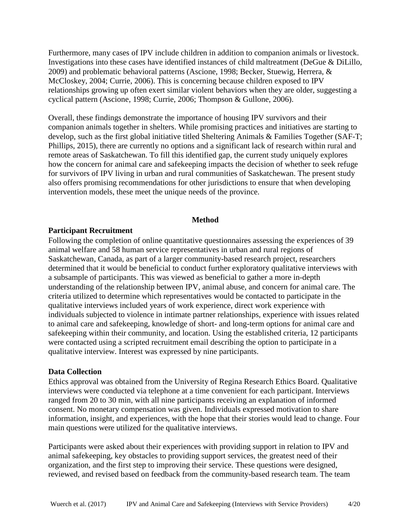Furthermore, many cases of IPV include children in addition to companion animals or livestock. Investigations into these cases have identified instances of child maltreatment (DeGue & DiLillo, 2009) and problematic behavioral patterns (Ascione, 1998; Becker, Stuewig, Herrera, & McCloskey, 2004; Currie, 2006). This is concerning because children exposed to IPV relationships growing up often exert similar violent behaviors when they are older, suggesting a cyclical pattern (Ascione, 1998; Currie, 2006; Thompson & Gullone, 2006).

Overall, these findings demonstrate the importance of housing IPV survivors and their companion animals together in shelters. While promising practices and initiatives are starting to develop, such as the first global initiative titled Sheltering Animals & Families Together (SAF-T; Phillips, 2015), there are currently no options and a significant lack of research within rural and remote areas of Saskatchewan. To fill this identified gap, the current study uniquely explores how the concern for animal care and safekeeping impacts the decision of whether to seek refuge for survivors of IPV living in urban and rural communities of Saskatchewan. The present study also offers promising recommendations for other jurisdictions to ensure that when developing intervention models, these meet the unique needs of the province.

#### **Method**

#### **Participant Recruitment**

Following the completion of online quantitative questionnaires assessing the experiences of 39 animal welfare and 58 human service representatives in urban and rural regions of Saskatchewan, Canada, as part of a larger community-based research project, researchers determined that it would be beneficial to conduct further exploratory qualitative interviews with a subsample of participants. This was viewed as beneficial to gather a more in-depth understanding of the relationship between IPV, animal abuse, and concern for animal care. The criteria utilized to determine which representatives would be contacted to participate in the qualitative interviews included years of work experience, direct work experience with individuals subjected to violence in intimate partner relationships, experience with issues related to animal care and safekeeping, knowledge of short- and long-term options for animal care and safekeeping within their community, and location. Using the established criteria, 12 participants were contacted using a scripted recruitment email describing the option to participate in a qualitative interview. Interest was expressed by nine participants.

#### **Data Collection**

Ethics approval was obtained from the University of Regina Research Ethics Board. Qualitative interviews were conducted via telephone at a time convenient for each participant. Interviews ranged from 20 to 30 min, with all nine participants receiving an explanation of informed consent. No monetary compensation was given. Individuals expressed motivation to share information, insight, and experiences, with the hope that their stories would lead to change. Four main questions were utilized for the qualitative interviews.

Participants were asked about their experiences with providing support in relation to IPV and animal safekeeping, key obstacles to providing support services, the greatest need of their organization, and the first step to improving their service. These questions were designed, reviewed, and revised based on feedback from the community-based research team. The team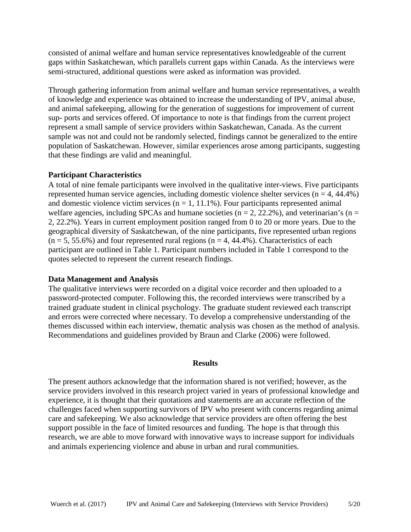consisted of animal welfare and human service representatives knowledgeable of the current gaps within Saskatchewan, which parallels current gaps within Canada. As the interviews were semi-structured, additional questions were asked as information was provided.

Through gathering information from animal welfare and human service representatives, a wealth of knowledge and experience was obtained to increase the understanding of IPV, animal abuse, and animal safekeeping, allowing for the generation of suggestions for improvement of current sup- ports and services offered. Of importance to note is that findings from the current project represent a small sample of service providers within Saskatchewan, Canada. As the current sample was not and could not be randomly selected, findings cannot be generalized to the entire population of Saskatchewan. However, similar experiences arose among participants, suggesting that these findings are valid and meaningful.

## **Participant Characteristics**

A total of nine female participants were involved in the qualitative inter-views. Five participants represented human service agencies, including domestic violence shelter services ( $n = 4, 44.4\%$ ) and domestic violence victim services ( $n = 1, 11.1\%$ ). Four participants represented animal welfare agencies, including SPCAs and humane societies ( $n = 2$ , 22.2%), and veterinarian's ( $n =$ 2, 22.2%). Years in current employment position ranged from 0 to 20 or more years. Due to the geographical diversity of Saskatchewan, of the nine participants, five represented urban regions  $(n = 5, 55.6%)$  and four represented rural regions  $(n = 4, 44.4%)$ . Characteristics of each participant are outlined in Table 1. Participant numbers included in Table 1 correspond to the quotes selected to represent the current research findings.

## **Data Management and Analysis**

The qualitative interviews were recorded on a digital voice recorder and then uploaded to a password-protected computer. Following this, the recorded interviews were transcribed by a trained graduate student in clinical psychology. The graduate student reviewed each transcript and errors were corrected where necessary. To develop a comprehensive understanding of the themes discussed within each interview, thematic analysis was chosen as the method of analysis. Recommendations and guidelines provided by Braun and Clarke (2006) were followed.

#### **Results**

The present authors acknowledge that the information shared is not verified; however, as the service providers involved in this research project varied in years of professional knowledge and experience, it is thought that their quotations and statements are an accurate reflection of the challenges faced when supporting survivors of IPV who present with concerns regarding animal care and safekeeping. We also acknowledge that service providers are often offering the best support possible in the face of limited resources and funding. The hope is that through this research, we are able to move forward with innovative ways to increase support for individuals and animals experiencing violence and abuse in urban and rural communities.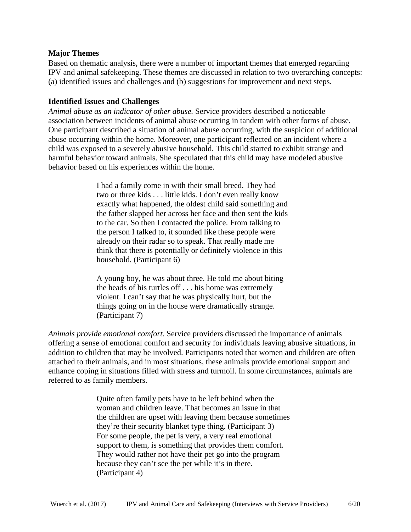## **Major Themes**

Based on thematic analysis, there were a number of important themes that emerged regarding IPV and animal safekeeping. These themes are discussed in relation to two overarching concepts: (a) identified issues and challenges and (b) suggestions for improvement and next steps.

### **Identified Issues and Challenges**

*Animal abuse as an indicator of other abuse.* Service providers described a noticeable association between incidents of animal abuse occurring in tandem with other forms of abuse. One participant described a situation of animal abuse occurring, with the suspicion of additional abuse occurring within the home. Moreover, one participant reflected on an incident where a child was exposed to a severely abusive household. This child started to exhibit strange and harmful behavior toward animals. She speculated that this child may have modeled abusive behavior based on his experiences within the home.

> I had a family come in with their small breed. They had two or three kids . . . little kids. I don't even really know exactly what happened, the oldest child said something and the father slapped her across her face and then sent the kids to the car. So then I contacted the police. From talking to the person I talked to, it sounded like these people were already on their radar so to speak. That really made me think that there is potentially or definitely violence in this household. (Participant 6)

A young boy, he was about three. He told me about biting the heads of his turtles off . . . his home was extremely violent. I can't say that he was physically hurt, but the things going on in the house were dramatically strange. (Participant 7)

*Animals provide emotional comfort.* Service providers discussed the importance of animals offering a sense of emotional comfort and security for individuals leaving abusive situations, in addition to children that may be involved. Participants noted that women and children are often attached to their animals, and in most situations, these animals provide emotional support and enhance coping in situations filled with stress and turmoil. In some circumstances, animals are referred to as family members.

> Quite often family pets have to be left behind when the woman and children leave. That becomes an issue in that the children are upset with leaving them because sometimes they're their security blanket type thing. (Participant 3) For some people, the pet is very, a very real emotional support to them, is something that provides them comfort. They would rather not have their pet go into the program because they can't see the pet while it's in there. (Participant 4)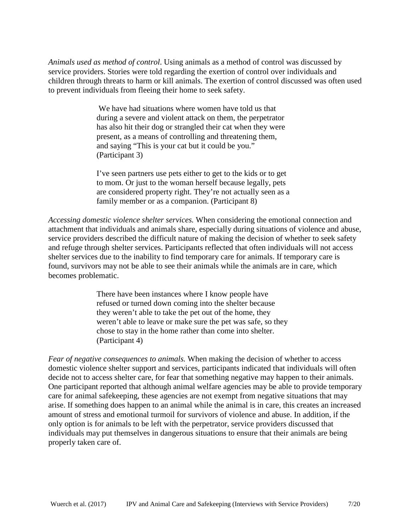*Animals used as method of control*. Using animals as a method of control was discussed by service providers. Stories were told regarding the exertion of control over individuals and children through threats to harm or kill animals. The exertion of control discussed was often used to prevent individuals from fleeing their home to seek safety.

> We have had situations where women have told us that during a severe and violent attack on them, the perpetrator has also hit their dog or strangled their cat when they were present, as a means of controlling and threatening them, and saying "This is your cat but it could be you." (Participant 3)

I've seen partners use pets either to get to the kids or to get to mom. Or just to the woman herself because legally, pets are considered property right. They're not actually seen as a family member or as a companion. (Participant 8)

*Accessing domestic violence shelter services.* When considering the emotional connection and attachment that individuals and animals share, especially during situations of violence and abuse, service providers described the difficult nature of making the decision of whether to seek safety and refuge through shelter services. Participants reflected that often individuals will not access shelter services due to the inability to find temporary care for animals. If temporary care is found, survivors may not be able to see their animals while the animals are in care, which becomes problematic.

> There have been instances where I know people have refused or turned down coming into the shelter because they weren't able to take the pet out of the home, they weren't able to leave or make sure the pet was safe, so they chose to stay in the home rather than come into shelter. (Participant 4)

*Fear of negative consequences to animals.* When making the decision of whether to access domestic violence shelter support and services, participants indicated that individuals will often decide not to access shelter care, for fear that something negative may happen to their animals. One participant reported that although animal welfare agencies may be able to provide temporary care for animal safekeeping, these agencies are not exempt from negative situations that may arise. If something does happen to an animal while the animal is in care, this creates an increased amount of stress and emotional turmoil for survivors of violence and abuse. In addition, if the only option is for animals to be left with the perpetrator, service providers discussed that individuals may put themselves in dangerous situations to ensure that their animals are being properly taken care of.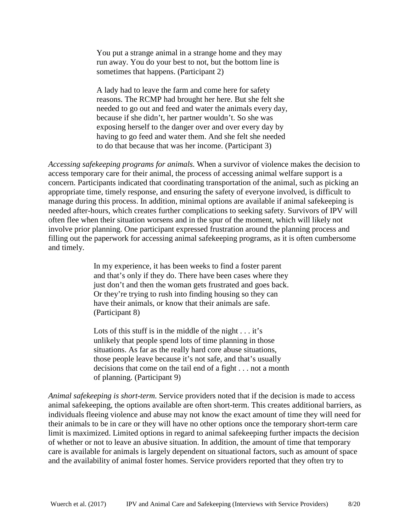You put a strange animal in a strange home and they may run away. You do your best to not, but the bottom line is sometimes that happens. (Participant 2)

A lady had to leave the farm and come here for safety reasons. The RCMP had brought her here. But she felt she needed to go out and feed and water the animals every day, because if she didn't, her partner wouldn't. So she was exposing herself to the danger over and over every day by having to go feed and water them. And she felt she needed to do that because that was her income. (Participant 3)

*Accessing safekeeping programs for animals.* When a survivor of violence makes the decision to access temporary care for their animal, the process of accessing animal welfare support is a concern. Participants indicated that coordinating transportation of the animal, such as picking an appropriate time, timely response, and ensuring the safety of everyone involved, is difficult to manage during this process. In addition, minimal options are available if animal safekeeping is needed after-hours, which creates further complications to seeking safety. Survivors of IPV will often flee when their situation worsens and in the spur of the moment, which will likely not involve prior planning. One participant expressed frustration around the planning process and filling out the paperwork for accessing animal safekeeping programs, as it is often cumbersome and timely.

> In my experience, it has been weeks to find a foster parent and that's only if they do. There have been cases where they just don't and then the woman gets frustrated and goes back. Or they're trying to rush into finding housing so they can have their animals, or know that their animals are safe. (Participant 8)

> Lots of this stuff is in the middle of the night  $\dots$  it's unlikely that people spend lots of time planning in those situations. As far as the really hard core abuse situations, those people leave because it's not safe, and that's usually decisions that come on the tail end of a fight . . . not a month of planning. (Participant 9)

*Animal safekeeping is short-term.* Service providers noted that if the decision is made to access animal safekeeping, the options available are often short-term. This creates additional barriers, as individuals fleeing violence and abuse may not know the exact amount of time they will need for their animals to be in care or they will have no other options once the temporary short-term care limit is maximized. Limited options in regard to animal safekeeping further impacts the decision of whether or not to leave an abusive situation. In addition, the amount of time that temporary care is available for animals is largely dependent on situational factors, such as amount of space and the availability of animal foster homes. Service providers reported that they often try to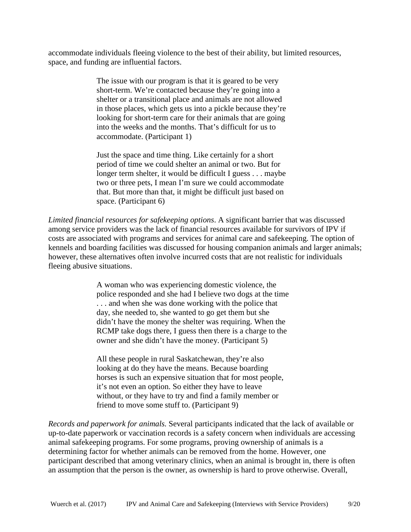accommodate individuals fleeing violence to the best of their ability, but limited resources, space, and funding are influential factors.

> The issue with our program is that it is geared to be very short-term. We're contacted because they're going into a shelter or a transitional place and animals are not allowed in those places, which gets us into a pickle because they're looking for short-term care for their animals that are going into the weeks and the months. That's difficult for us to accommodate. (Participant 1)

> Just the space and time thing. Like certainly for a short period of time we could shelter an animal or two. But for longer term shelter, it would be difficult I guess . . . maybe two or three pets, I mean I'm sure we could accommodate that. But more than that, it might be difficult just based on space. (Participant 6)

*Limited financial resources for safekeeping options*. A significant barrier that was discussed among service providers was the lack of financial resources available for survivors of IPV if costs are associated with programs and services for animal care and safekeeping. The option of kennels and boarding facilities was discussed for housing companion animals and larger animals; however, these alternatives often involve incurred costs that are not realistic for individuals fleeing abusive situations.

> A woman who was experiencing domestic violence, the police responded and she had I believe two dogs at the time . . . and when she was done working with the police that day, she needed to, she wanted to go get them but she didn't have the money the shelter was requiring. When the RCMP take dogs there, I guess then there is a charge to the owner and she didn't have the money. (Participant 5)

All these people in rural Saskatchewan, they're also looking at do they have the means. Because boarding horses is such an expensive situation that for most people, it's not even an option. So either they have to leave without, or they have to try and find a family member or friend to move some stuff to. (Participant 9)

*Records and paperwork for animals.* Several participants indicated that the lack of available or up-to-date paperwork or vaccination records is a safety concern when individuals are accessing animal safekeeping programs. For some programs, proving ownership of animals is a determining factor for whether animals can be removed from the home. However, one participant described that among veterinary clinics, when an animal is brought in, there is often an assumption that the person is the owner, as ownership is hard to prove otherwise. Overall,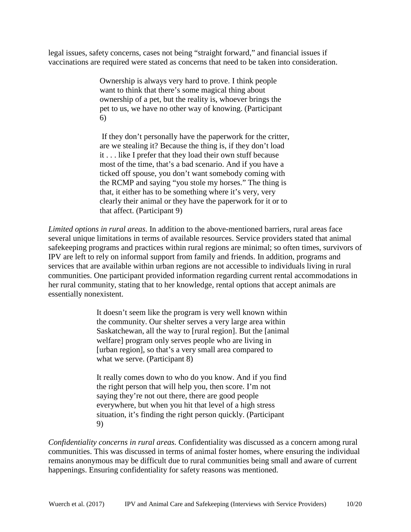legal issues, safety concerns, cases not being "straight forward," and financial issues if vaccinations are required were stated as concerns that need to be taken into consideration.

> Ownership is always very hard to prove. I think people want to think that there's some magical thing about ownership of a pet, but the reality is, whoever brings the pet to us, we have no other way of knowing. (Participant 6)

If they don't personally have the paperwork for the critter, are we stealing it? Because the thing is, if they don't load it . . . like I prefer that they load their own stuff because most of the time, that's a bad scenario. And if you have a ticked off spouse, you don't want somebody coming with the RCMP and saying "you stole my horses." The thing is that, it either has to be something where it's very, very clearly their animal or they have the paperwork for it or to that affect. (Participant 9)

*Limited options in rural areas*. In addition to the above-mentioned barriers, rural areas face several unique limitations in terms of available resources. Service providers stated that animal safekeeping programs and practices within rural regions are minimal; so often times, survivors of IPV are left to rely on informal support from family and friends. In addition, programs and services that are available within urban regions are not accessible to individuals living in rural communities. One participant provided information regarding current rental accommodations in her rural community, stating that to her knowledge, rental options that accept animals are essentially nonexistent.

> It doesn't seem like the program is very well known within the community. Our shelter serves a very large area within Saskatchewan, all the way to [rural region]. But the [animal welfare] program only serves people who are living in [urban region], so that's a very small area compared to what we serve. (Participant 8)

It really comes down to who do you know. And if you find the right person that will help you, then score. I'm not saying they're not out there, there are good people everywhere, but when you hit that level of a high stress situation, it's finding the right person quickly. (Participant 9)

*Confidentiality concerns in rural areas.* Confidentiality was discussed as a concern among rural communities. This was discussed in terms of animal foster homes, where ensuring the individual remains anonymous may be difficult due to rural communities being small and aware of current happenings. Ensuring confidentiality for safety reasons was mentioned.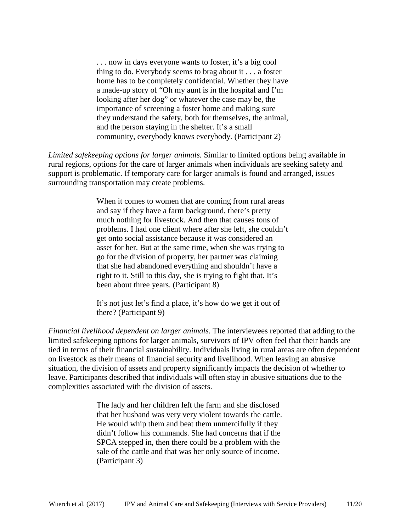. . . now in days everyone wants to foster, it's a big cool thing to do. Everybody seems to brag about it . . . a foster home has to be completely confidential. Whether they have a made-up story of "Oh my aunt is in the hospital and I'm looking after her dog" or whatever the case may be, the importance of screening a foster home and making sure they understand the safety, both for themselves, the animal, and the person staying in the shelter. It's a small community, everybody knows everybody. (Participant 2)

*Limited safekeeping options for larger animals.* Similar to limited options being available in rural regions, options for the care of larger animals when individuals are seeking safety and support is problematic. If temporary care for larger animals is found and arranged, issues surrounding transportation may create problems.

> When it comes to women that are coming from rural areas and say if they have a farm background, there's pretty much nothing for livestock. And then that causes tons of problems. I had one client where after she left, she couldn't get onto social assistance because it was considered an asset for her. But at the same time, when she was trying to go for the division of property, her partner was claiming that she had abandoned everything and shouldn't have a right to it. Still to this day, she is trying to fight that. It's been about three years. (Participant 8)

It's not just let's find a place, it's how do we get it out of there? (Participant 9)

*Financial livelihood dependent on larger animals*. The interviewees reported that adding to the limited safekeeping options for larger animals, survivors of IPV often feel that their hands are tied in terms of their financial sustainability. Individuals living in rural areas are often dependent on livestock as their means of financial security and livelihood. When leaving an abusive situation, the division of assets and property significantly impacts the decision of whether to leave. Participants described that individuals will often stay in abusive situations due to the complexities associated with the division of assets.

> The lady and her children left the farm and she disclosed that her husband was very very violent towards the cattle. He would whip them and beat them unmercifully if they didn't follow his commands. She had concerns that if the SPCA stepped in, then there could be a problem with the sale of the cattle and that was her only source of income. (Participant 3)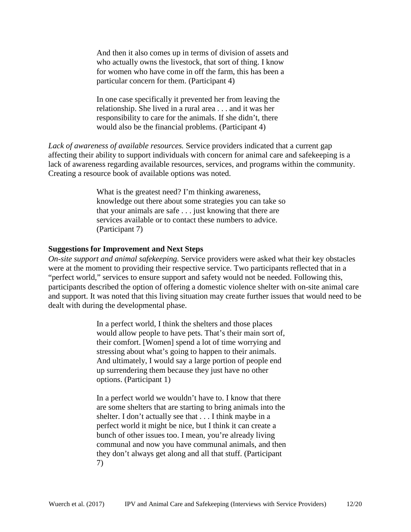And then it also comes up in terms of division of assets and who actually owns the livestock, that sort of thing. I know for women who have come in off the farm, this has been a particular concern for them. (Participant 4)

In one case specifically it prevented her from leaving the relationship. She lived in a rural area . . . and it was her responsibility to care for the animals. If she didn't, there would also be the financial problems. (Participant 4)

*Lack of awareness of available resources.* Service providers indicated that a current gap affecting their ability to support individuals with concern for animal care and safekeeping is a lack of awareness regarding available resources, services, and programs within the community. Creating a resource book of available options was noted.

> What is the greatest need? I'm thinking awareness, knowledge out there about some strategies you can take so that your animals are safe . . . just knowing that there are services available or to contact these numbers to advice. (Participant 7)

#### **Suggestions for Improvement and Next Steps**

*On-site support and animal safekeeping.* Service providers were asked what their key obstacles were at the moment to providing their respective service. Two participants reflected that in a "perfect world," services to ensure support and safety would not be needed. Following this, participants described the option of offering a domestic violence shelter with on-site animal care and support. It was noted that this living situation may create further issues that would need to be dealt with during the developmental phase.

> In a perfect world, I think the shelters and those places would allow people to have pets. That's their main sort of, their comfort. [Women] spend a lot of time worrying and stressing about what's going to happen to their animals. And ultimately, I would say a large portion of people end up surrendering them because they just have no other options. (Participant 1)

In a perfect world we wouldn't have to. I know that there are some shelters that are starting to bring animals into the shelter. I don't actually see that . . . I think maybe in a perfect world it might be nice, but I think it can create a bunch of other issues too. I mean, you're already living communal and now you have communal animals, and then they don't always get along and all that stuff. (Participant 7)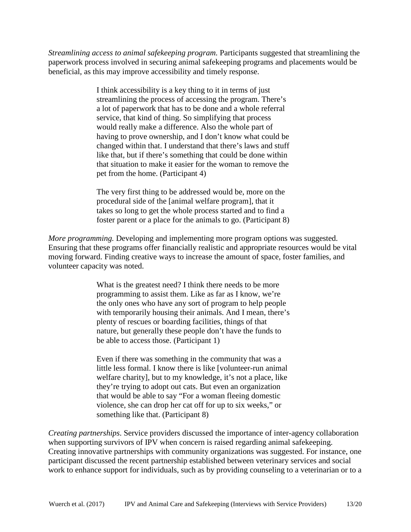*Streamlining access to animal safekeeping program.* Participants suggested that streamlining the paperwork process involved in securing animal safekeeping programs and placements would be beneficial, as this may improve accessibility and timely response.

> I think accessibility is a key thing to it in terms of just streamlining the process of accessing the program. There's a lot of paperwork that has to be done and a whole referral service, that kind of thing. So simplifying that process would really make a difference. Also the whole part of having to prove ownership, and I don't know what could be changed within that. I understand that there's laws and stuff like that, but if there's something that could be done within that situation to make it easier for the woman to remove the pet from the home. (Participant 4)

> The very first thing to be addressed would be, more on the procedural side of the [animal welfare program], that it takes so long to get the whole process started and to find a foster parent or a place for the animals to go. (Participant 8)

*More programming.* Developing and implementing more program options was suggested. Ensuring that these programs offer financially realistic and appropriate resources would be vital moving forward. Finding creative ways to increase the amount of space, foster families, and volunteer capacity was noted.

> What is the greatest need? I think there needs to be more programming to assist them. Like as far as I know, we're the only ones who have any sort of program to help people with temporarily housing their animals. And I mean, there's plenty of rescues or boarding facilities, things of that nature, but generally these people don't have the funds to be able to access those. (Participant 1)

Even if there was something in the community that was a little less formal. I know there is like [volunteer-run animal welfare charity], but to my knowledge, it's not a place, like they're trying to adopt out cats. But even an organization that would be able to say "For a woman fleeing domestic violence, she can drop her cat off for up to six weeks," or something like that. (Participant 8)

*Creating partnerships*. Service providers discussed the importance of inter-agency collaboration when supporting survivors of IPV when concern is raised regarding animal safekeeping. Creating innovative partnerships with community organizations was suggested. For instance, one participant discussed the recent partnership established between veterinary services and social work to enhance support for individuals, such as by providing counseling to a veterinarian or to a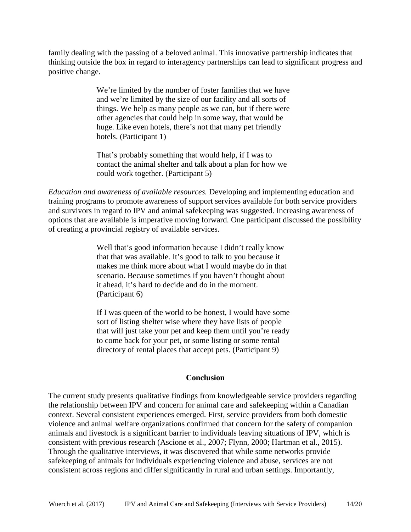family dealing with the passing of a beloved animal. This innovative partnership indicates that thinking outside the box in regard to interagency partnerships can lead to significant progress and positive change.

> We're limited by the number of foster families that we have and we're limited by the size of our facility and all sorts of things. We help as many people as we can, but if there were other agencies that could help in some way, that would be huge. Like even hotels, there's not that many pet friendly hotels. (Participant 1)

That's probably something that would help, if I was to contact the animal shelter and talk about a plan for how we could work together. (Participant 5)

*Education and awareness of available resources.* Developing and implementing education and training programs to promote awareness of support services available for both service providers and survivors in regard to IPV and animal safekeeping was suggested. Increasing awareness of options that are available is imperative moving forward. One participant discussed the possibility of creating a provincial registry of available services.

> Well that's good information because I didn't really know that that was available. It's good to talk to you because it makes me think more about what I would maybe do in that scenario. Because sometimes if you haven't thought about it ahead, it's hard to decide and do in the moment. (Participant 6)

If I was queen of the world to be honest, I would have some sort of listing shelter wise where they have lists of people that will just take your pet and keep them until you're ready to come back for your pet, or some listing or some rental directory of rental places that accept pets. (Participant 9)

#### **Conclusion**

The current study presents qualitative findings from knowledgeable service providers regarding the relationship between IPV and concern for animal care and safekeeping within a Canadian context. Several consistent experiences emerged. First, service providers from both domestic violence and animal welfare organizations confirmed that concern for the safety of companion animals and livestock is a significant barrier to individuals leaving situations of IPV, which is consistent with previous research (Ascione et al., 2007; Flynn, 2000; Hartman et al., 2015). Through the qualitative interviews, it was discovered that while some networks provide safekeeping of animals for individuals experiencing violence and abuse, services are not consistent across regions and differ significantly in rural and urban settings. Importantly,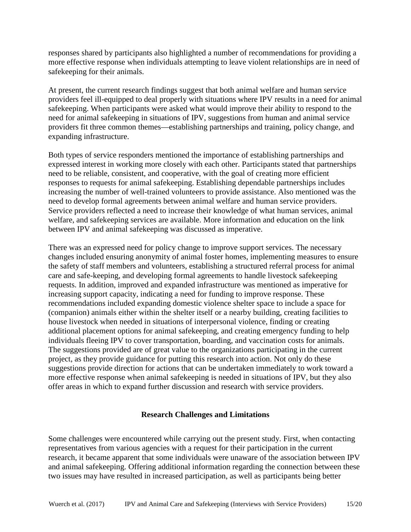responses shared by participants also highlighted a number of recommendations for providing a more effective response when individuals attempting to leave violent relationships are in need of safekeeping for their animals.

At present, the current research findings suggest that both animal welfare and human service providers feel ill-equipped to deal properly with situations where IPV results in a need for animal safekeeping. When participants were asked what would improve their ability to respond to the need for animal safekeeping in situations of IPV, suggestions from human and animal service providers fit three common themes—establishing partnerships and training, policy change, and expanding infrastructure.

Both types of service responders mentioned the importance of establishing partnerships and expressed interest in working more closely with each other. Participants stated that partnerships need to be reliable, consistent, and cooperative, with the goal of creating more efficient responses to requests for animal safekeeping. Establishing dependable partnerships includes increasing the number of well-trained volunteers to provide assistance. Also mentioned was the need to develop formal agreements between animal welfare and human service providers. Service providers reflected a need to increase their knowledge of what human services, animal welfare, and safekeeping services are available. More information and education on the link between IPV and animal safekeeping was discussed as imperative.

There was an expressed need for policy change to improve support services. The necessary changes included ensuring anonymity of animal foster homes, implementing measures to ensure the safety of staff members and volunteers, establishing a structured referral process for animal care and safe-keeping, and developing formal agreements to handle livestock safekeeping requests. In addition, improved and expanded infrastructure was mentioned as imperative for increasing support capacity, indicating a need for funding to improve response. These recommendations included expanding domestic violence shelter space to include a space for (companion) animals either within the shelter itself or a nearby building, creating facilities to house livestock when needed in situations of interpersonal violence, finding or creating additional placement options for animal safekeeping, and creating emergency funding to help individuals fleeing IPV to cover transportation, boarding, and vaccination costs for animals. The suggestions provided are of great value to the organizations participating in the current project, as they provide guidance for putting this research into action. Not only do these suggestions provide direction for actions that can be undertaken immediately to work toward a more effective response when animal safekeeping is needed in situations of IPV, but they also offer areas in which to expand further discussion and research with service providers.

## **Research Challenges and Limitations**

Some challenges were encountered while carrying out the present study. First, when contacting representatives from various agencies with a request for their participation in the current research, it became apparent that some individuals were unaware of the association between IPV and animal safekeeping. Offering additional information regarding the connection between these two issues may have resulted in increased participation, as well as participants being better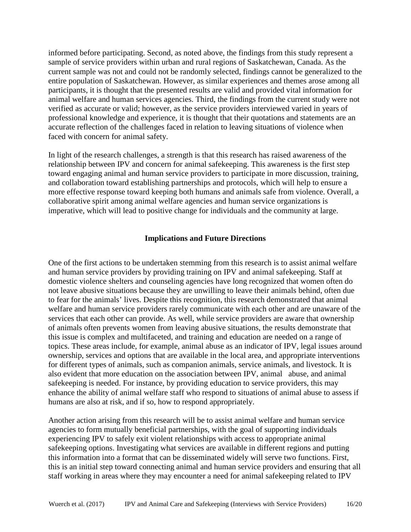informed before participating. Second, as noted above, the findings from this study represent a sample of service providers within urban and rural regions of Saskatchewan, Canada. As the current sample was not and could not be randomly selected, findings cannot be generalized to the entire population of Saskatchewan. However, as similar experiences and themes arose among all participants, it is thought that the presented results are valid and provided vital information for animal welfare and human services agencies. Third, the findings from the current study were not verified as accurate or valid; however, as the service providers interviewed varied in years of professional knowledge and experience, it is thought that their quotations and statements are an accurate reflection of the challenges faced in relation to leaving situations of violence when faced with concern for animal safety.

In light of the research challenges, a strength is that this research has raised awareness of the relationship between IPV and concern for animal safekeeping. This awareness is the first step toward engaging animal and human service providers to participate in more discussion, training, and collaboration toward establishing partnerships and protocols, which will help to ensure a more effective response toward keeping both humans and animals safe from violence. Overall, a collaborative spirit among animal welfare agencies and human service organizations is imperative, which will lead to positive change for individuals and the community at large.

## **Implications and Future Directions**

One of the first actions to be undertaken stemming from this research is to assist animal welfare and human service providers by providing training on IPV and animal safekeeping. Staff at domestic violence shelters and counseling agencies have long recognized that women often do not leave abusive situations because they are unwilling to leave their animals behind, often due to fear for the animals' lives. Despite this recognition, this research demonstrated that animal welfare and human service providers rarely communicate with each other and are unaware of the services that each other can provide. As well, while service providers are aware that ownership of animals often prevents women from leaving abusive situations, the results demonstrate that this issue is complex and multifaceted, and training and education are needed on a range of topics. These areas include, for example, animal abuse as an indicator of IPV, legal issues around ownership, services and options that are available in the local area, and appropriate interventions for different types of animals, such as companion animals, service animals, and livestock. It is also evident that more education on the association between IPV, animal abuse, and animal safekeeping is needed. For instance, by providing education to service providers, this may enhance the ability of animal welfare staff who respond to situations of animal abuse to assess if humans are also at risk, and if so, how to respond appropriately.

Another action arising from this research will be to assist animal welfare and human service agencies to form mutually beneficial partnerships, with the goal of supporting individuals experiencing IPV to safely exit violent relationships with access to appropriate animal safekeeping options. Investigating what services are available in different regions and putting this information into a format that can be disseminated widely will serve two functions. First, this is an initial step toward connecting animal and human service providers and ensuring that all staff working in areas where they may encounter a need for animal safekeeping related to IPV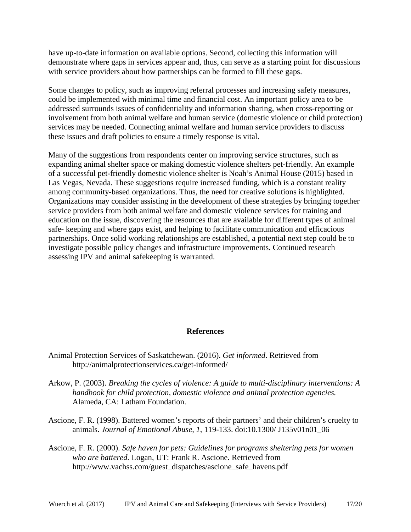have up-to-date information on available options. Second, collecting this information will demonstrate where gaps in services appear and, thus, can serve as a starting point for discussions with service providers about how partnerships can be formed to fill these gaps.

Some changes to policy, such as improving referral processes and increasing safety measures, could be implemented with minimal time and financial cost. An important policy area to be addressed surrounds issues of confidentiality and information sharing, when cross-reporting or involvement from both animal welfare and human service (domestic violence or child protection) services may be needed. Connecting animal welfare and human service providers to discuss these issues and draft policies to ensure a timely response is vital.

Many of the suggestions from respondents center on improving service structures, such as expanding animal shelter space or making domestic violence shelters pet-friendly. An example of a successful pet-friendly domestic violence shelter is Noah's Animal House (2015) based in Las Vegas, Nevada. These suggestions require increased funding, which is a constant reality among community-based organizations. Thus, the need for creative solutions is highlighted. Organizations may consider assisting in the development of these strategies by bringing together service providers from both animal welfare and domestic violence services for training and education on the issue, discovering the resources that are available for different types of animal safe- keeping and where gaps exist, and helping to facilitate communication and efficacious partnerships. Once solid working relationships are established, a potential next step could be to investigate possible policy changes and infrastructure improvements. Continued research assessing IPV and animal safekeeping is warranted.

## **References**

- Animal Protection Services of Saskatchewan. (2016). *Get informed*. Retrieved from http://animalprotectionservices.ca/get-informed/
- Arkow, P. (2003). *Breaking the cycles of violence: A guide to multi-disciplinary interventions: A handbook for child protection, domestic violence and animal protection agencies.* Alameda, CA: Latham Foundation.
- Ascione, F. R. (1998). Battered women's reports of their partners' and their children's cruelty to animals. *Journal of Emotional Abuse, 1*, 119-133. doi:10.1300/ J135v01n01\_06
- Ascione, F. R. (2000). *Safe haven for pets: Guidelines for programs sheltering pets for women who are battered.* Logan, UT: Frank R. Ascione. Retrieved from http://www.vachss.com/guest\_dispatches/ascione\_safe\_havens.pdf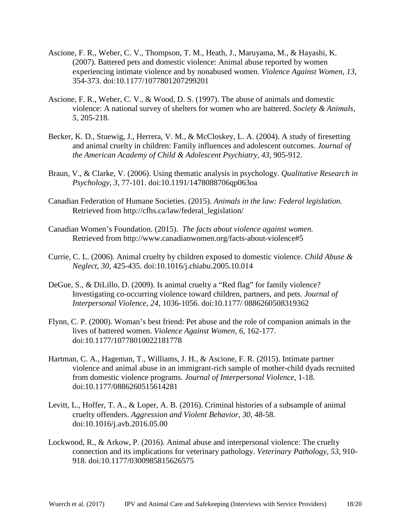- Ascione, F. R., Weber, C. V., Thompson, T. M., Heath, J., Maruyama, M., & Hayashi, K. (2007). Battered pets and domestic violence: Animal abuse reported by women experiencing intimate violence and by nonabused women. *Violence Against Women, 13*, 354-373. doi:10.1177/1077801207299201
- Ascione, F. R., Weber, C. V., & Wood, D. S. (1997). The abuse of animals and domestic violence: A national survey of shelters for women who are battered. *Society & Animals, 5*, 205-218.
- Becker, K. D., Stuewig, J., Herrera, V. M., & McCloskey, L. A. (2004). A study of firesetting and animal cruelty in children: Family influences and adolescent outcomes. *Journal of the American Academy of Child & Adolescent Psychiatry, 43*, 905-912.
- Braun, V., & Clarke, V. (2006). Using thematic analysis in psychology. *Qualitative Research in Psychology, 3*, 77-101. doi:10.1191/1478088706qp063oa
- Canadian Federation of Humane Societies. (2015). *Animals in the law: Federal legislation.* Retrieved from http://cfhs.ca/law/federal\_legislation/
- Canadian Women's Foundation. (2015). *The facts about violence against women.* Retrieved from http://www.canadianwomen.org/facts-about-violence#5
- Currie, C. L. (2006). Animal cruelty by children exposed to domestic violence. *Child Abuse & Neglect, 30*, 425-435. doi:10.1016/j.chiabu.2005.10.014
- DeGue, S., & DiLillo, D. (2009). Is animal cruelty a "Red flag" for family violence? Investigating co-occurring violence toward children, partners, and pets. *Journal of Interpersonal Violence, 24,* 1036-1056. doi:10.1177/ 0886260508319362
- Flynn, C. P. (2000). Woman's best friend: Pet abuse and the role of companion animals in the lives of battered women. *Violence Against Women, 6*, 162-177. doi:10.1177/10778010022181778
- Hartman, C. A., Hageman, T., Williams, J. H., & Ascione, F. R. (2015). Intimate partner violence and animal abuse in an immigrant-rich sample of mother-child dyads recruited from domestic violence programs. *Journal of Interpersonal Violence*, 1-18. doi:10.1177/0886260515614281
- Levitt, L., Hoffer, T. A., & Loper, A. B. (2016). Criminal histories of a subsample of animal cruelty offenders. *Aggression and Violent Behavior, 30,* 48-58. doi:10.1016/j.avb.2016.05.00
- Lockwood, R., & Arkow, P. (2016). Animal abuse and interpersonal violence: The cruelty connection and its implications for veterinary pathology. *Veterinary Pathology, 53*, 910- 918. doi:10.1177/0300985815626575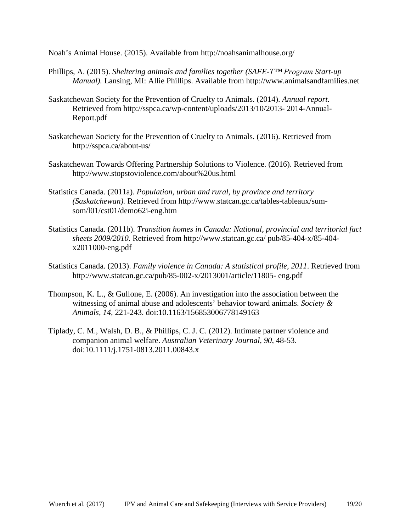Noah's Animal House. (2015). Available from http://noahsanimalhouse.org/

- Phillips, A. (2015). *Sheltering animals and families together (SAFE-Τ™ Program Start-up Manual).* Lansing, MI: Allie Phillips. Available from http://www.animalsandfamilies.net
- Saskatchewan Society for the Prevention of Cruelty to Animals. (2014). *Annual report.*  Retrieved from http://sspca.ca/wp-content/uploads/2013/10/2013- 2014-Annual-Report.pdf
- Saskatchewan Society for the Prevention of Cruelty to Animals. (2016). Retrieved from http://sspca.ca/about-us/
- Saskatchewan Towards Offering Partnership Solutions to Violence. (2016). Retrieved from http://www.stopstoviolence.com/about%20us.html
- Statistics Canada. (2011a). *Population, urban and rural, by province and territory (Saskatchewan).* Retrieved from http://www.statcan.gc.ca/tables-tableaux/sumsom/l01/cst01/demo62i-eng.htm
- Statistics Canada. (2011b). *Transition homes in Canada: National, provincial and territorial fact sheets 2009/2010*. Retrieved from http://www.statcan.gc.ca/ pub/85-404-x/85-404 x2011000-eng.pdf
- Statistics Canada. (2013). *Family violence in Canada: A statistical profile, 2011*. Retrieved from http://www.statcan.gc.ca/pub/85-002-x/2013001/article/11805- eng.pdf
- Thompson, K. L., & Gullone, E. (2006). An investigation into the association between the witnessing of animal abuse and adolescents' behavior toward animals. *Society & Animals, 14,* 221-243. doi:10.1163/156853006778149163
- Tiplady, C. M., Walsh, D. B., & Phillips, C. J. C. (2012). Intimate partner violence and companion animal welfare. *Australian Veterinary Journal, 90*, 48-53. doi:10.1111/j.1751-0813.2011.00843.x